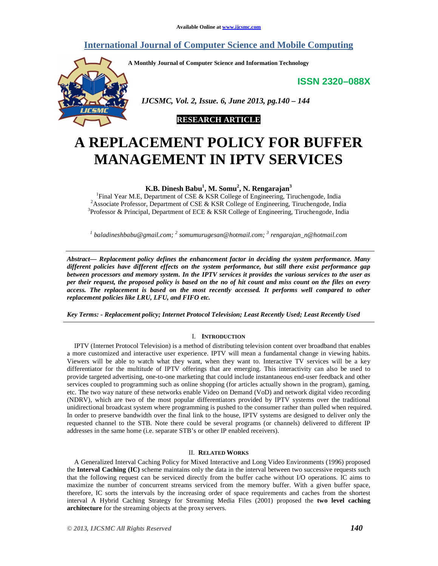# **International Journal of Computer Science and Mobile Computing**

**A Monthly Journal of Computer Science and Information Technology** 

**ISSN 2320–088X**



 *IJCSMC, Vol. 2, Issue. 6, June 2013, pg.140 – 144* 



# **A REPLACEMENT POLICY FOR BUFFER MANAGEMENT IN IPTV SERVICES**

**K.B. Dinesh Babu<sup>1</sup> , M. Somu<sup>2</sup> , N. Rengarajan<sup>3</sup>**

<sup>1</sup>Final Year M.E, Department of CSE & KSR College of Engineering, Tiruchengode, India <sup>2</sup>Associate Professor, Department of CSE & KSR College of Engineering, Tiruchengode, India <sup>3</sup>Professor & Principal, Department of ECE & KSR College of Engineering, Tiruchengode, India

*1 baladineshbabu@gmail.com; <sup>2</sup> somumurugesan@hotmail.com; <sup>3</sup> rengarajan\_n@hotmail.com* 

*Abstract— Replacement policy defines the enhancement factor in deciding the system performance. Many different policies have different effects on the system performance, but still there exist performance gap between processors and memory system. In the IPTV services it provides the various services to the user as per their request, the proposed policy is based on the no of hit count and miss count on the files on every access. The replacement is based on the most recently accessed. It performs well compared to other replacement policies like LRU, LFU, and FIFO etc.* 

*Key Terms: - Replacement policy; Internet Protocol Television; Least Recently Used; Least Recently Used* 

# I. **INTRODUCTION**

IPTV (Internet Protocol Television) is a method of distributing television content over broadband that enables a more customized and interactive user experience. IPTV will mean a fundamental change in viewing habits. Viewers will be able to watch what they want, when they want to. Interactive TV services will be a key differentiator for the multitude of IPTV offerings that are emerging. This interactivity can also be used to provide targeted advertising, one-to-one marketing that could include instantaneous end-user feedback and other services coupled to programming such as online shopping (for articles actually shown in the program), gaming, etc. The two way nature of these networks enable Video on Demand (VoD) and network digital video recording (NDRV), which are two of the most popular differentiators provided by IPTV systems over the traditional unidirectional broadcast system where programming is pushed to the consumer rather than pulled when required. In order to preserve bandwidth over the final link to the house, IPTV systems are designed to deliver only the requested channel to the STB. Note there could be several programs (or channels) delivered to different IP addresses in the same home (i.e. separate STB's or other IP enabled receivers).

# II. **RELATED WORKS**

A Generalized Interval Caching Policy for Mixed Interactive and Long Video Environments (1996) proposed the **Interval Caching (IC)** scheme maintains only the data in the interval between two successive requests such that the following request can be serviced directly from the buffer cache without I/O operations. IC aims to maximize the number of concurrent streams serviced from the memory buffer. With a given buffer space, therefore, IC sorts the intervals by the increasing order of space requirements and caches from the shortest interval A Hybrid Caching Strategy for Streaming Media Files (2001) proposed the **two level caching architecture** for the streaming objects at the proxy servers.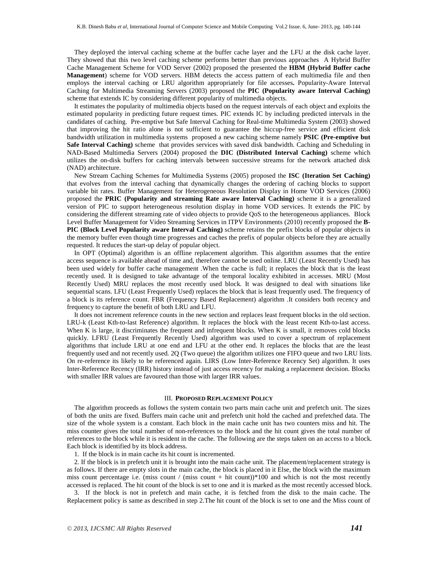They deployed the interval caching scheme at the buffer cache layer and the LFU at the disk cache layer. They showed that this two level caching scheme performs better than previous approaches A Hybrid Buffer Cache Management Scheme for VOD Server (2002) proposed the presented the **HBM (Hybrid Buffer cache Management**) scheme for VOD servers. HBM detects the access pattern of each multimedia file and then employs the interval caching or LRU algorithm appropriately for file accesses**.** Popularity-Aware Interval Caching for Multimedia Streaming Servers (2003) proposed the **PIC (Popularity aware Interval Caching)**  scheme that extends IC by considering different popularity of multimedia objects.

It estimates the popularity of multimedia objects based on the request intervals of each object and exploits the estimated popularity in predicting future request times. PIC extends IC by including predicted intervals in the candidates of caching. Pre-emptive but Safe Interval Caching for Real-time Multimedia System (2003) showed that improving the hit ratio alone is not sufficient to guarantee the hiccup-free service and efficient disk bandwidth utilization in multimedia systems proposed a new caching scheme namely **PSIC (Pre-emptive but Safe Interval Caching)** scheme that provides services with saved disk bandwidth. Caching and Scheduling in NAD-Based Multimedia Servers (2004) proposed the **DIC (Distributed Interval Caching)** scheme which utilizes the on-disk buffers for caching intervals between successive streams for the network attached disk (NAD) architecture.

New Stream Caching Schemes for Multimedia Systems (2005) proposed the **ISC (Iteration Set Caching)** that evolves from the interval caching that dynamically changes the ordering of caching blocks to support variable bit rates. Buffer Management for Heterogeneous Resolution Display in Home VOD Services (2006) proposed the **PRIC (Popularity and streaming Rate aware Interval Caching)** scheme it is a generalized version of PIC to support heterogeneous resolution display in home VOD services. It extends the PIC by considering the different streaming rate of video objects to provide QoS to the heterogeneous appliances. Block Level Buffer Management for Video Streaming Services in ITPV Environments (2010) recently proposed the **B-PIC (Block Level Popularity aware Interval Caching)** scheme retains the prefix blocks of popular objects in the memory buffer even though time progresses and caches the prefix of popular objects before they are actually requested. It reduces the start-up delay of popular object.

In OPT (Optimal) algorithm is an offline replacement algorithm. This algorithm assumes that the entire access sequence is available ahead of time and, therefore cannot be used online. LRU (Least Recently Used) has been used widely for buffer cache management .When the cache is full; it replaces the block that is the least recently used. It is designed to take advantage of the temporal locality exhibited in accesses. MRU (Most Recently Used) MRU replaces the most recently used block. It was designed to deal with situations like sequential scans. LFU (Least Frequently Used) replaces the block that is least frequently used. The frequency of a block is its reference count. FBR (Frequency Based Replacement) algorithm .It considers both recency and frequency to capture the benefit of both LRU and LFU.

It does not increment reference counts in the new section and replaces least frequent blocks in the old section. LRU-k (Least Kth-to-last Reference) algorithm. It replaces the block with the least recent Kth-to-last access. When K is large, it discriminates the frequent and infrequent blocks. When K is small, it removes cold blocks quickly. LFRU (Least Frequently Recently Used) algorithm was used to cover a spectrum of replacement algorithms that include LRU at one end and LFU at the other end. It replaces the blocks that are the least frequently used and not recently used. 2Q (Two queue) the algorithm utilizes one FIFO queue and two LRU lists. On re-reference its likely to be referenced again. LIRS (Low Inter-Reference Recency Set) algorithm. It uses Inter-Reference Recency (IRR) history instead of just access recency for making a replacement decision. Blocks with smaller IRR values are favoured than those with larger IRR values.

#### III. **PROPOSED REPLACEMENT POLICY**

The algorithm proceeds as follows the system contain two parts main cache unit and prefetch unit. The sizes of both the units are fixed. Buffers main cache unit and prefetch unit hold the cached and prefetched data. The size of the whole system is a constant. Each block in the main cache unit has two counters miss and hit. The miss counter gives the total number of non-references to the block and the hit count gives the total number of references to the block while it is resident in the cache. The following are the steps taken on an access to a block. Each block is identified by its block address.

1. If the block is in main cache its hit count is incremented.

2. If the block is in prefetch unit it is brought into the main cache unit. The placement/replacement strategy is as follows. If there are empty slots in the main cache, the block is placed in it Else, the block with the maximum miss count percentage i.e. (miss count / (miss count + hit count)) $*100$  and which is not the most recently accessed is replaced. The hit count of the block is set to one and it is marked as the most recently accessed block.

3. If the block is not in prefetch and main cache, it is fetched from the disk to the main cache. The Replacement policy is same as described in step 2.The hit count of the block is set to one and the Miss count of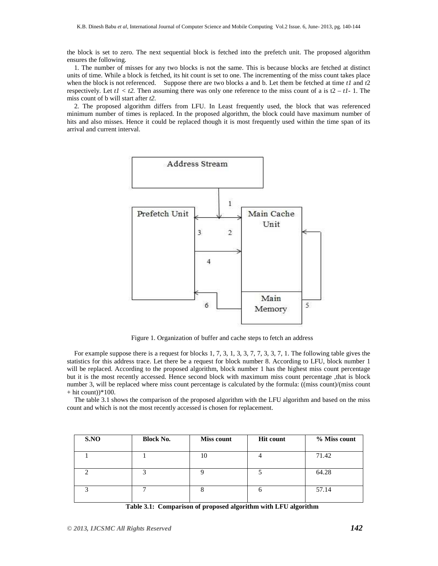the block is set to zero. The next sequential block is fetched into the prefetch unit. The proposed algorithm ensures the following.

1. The number of misses for any two blocks is not the same. This is because blocks are fetched at distinct units of time. While a block is fetched, its hit count is set to one. The incrementing of the miss count takes place when the block is not referenced. Suppose there are two blocks a and b. Let them be fetched at time *t1* and *t*2 respectively. Let  $t1 < t2$ . Then assuming there was only one reference to the miss count of a is  $t2 - t1 - 1$ . The miss count of b will start after *t2.*

2. The proposed algorithm differs from LFU. In Least frequently used, the block that was referenced minimum number of times is replaced. In the proposed algorithm, the block could have maximum number of hits and also misses. Hence it could be replaced though it is most frequently used within the time span of its arrival and current interval.



Figure 1. Organization of buffer and cache steps to fetch an address

For example suppose there is a request for blocks 1, 7, 3, 1, 3, 3, 7, 7, 3, 3, 7, 1. The following table gives the statistics for this address trace. Let there be a request for block number 8. According to LFU, block number 1 will be replaced. According to the proposed algorithm, block number 1 has the highest miss count percentage but it is the most recently accessed. Hence second block with maximum miss count percentage ,that is block number 3, will be replaced where miss count percentage is calculated by the formula: ((miss count)/(miss count  $+$  hit count)) $*100$ .

The table 3.1 shows the comparison of the proposed algorithm with the LFU algorithm and based on the miss count and which is not the most recently accessed is chosen for replacement.

| <b>Block No.</b><br><b>Miss count</b> | <b>Hit count</b> | % Miss count |
|---------------------------------------|------------------|--------------|
| 10                                    |                  | 71.42        |
|                                       |                  | 64.28        |
|                                       |                  | 57.14        |
|                                       |                  |              |

**Table 3.1: Comparison of proposed algorithm with LFU algorithm**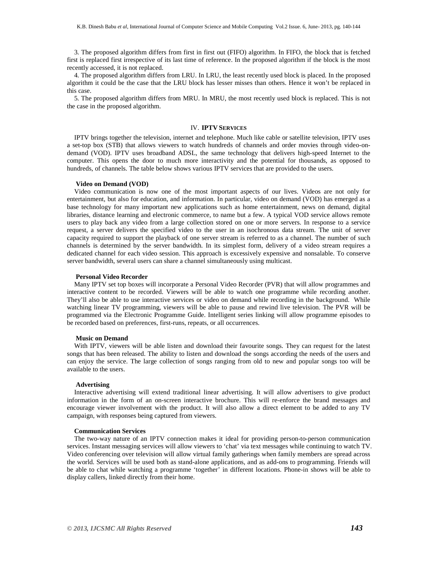3. The proposed algorithm differs from first in first out (FIFO) algorithm. In FIFO, the block that is fetched first is replaced first irrespective of its last time of reference. In the proposed algorithm if the block is the most recently accessed, it is not replaced.

4. The proposed algorithm differs from LRU. In LRU, the least recently used block is placed. In the proposed algorithm it could be the case that the LRU block has lesser misses than others. Hence it won't be replaced in this case.

5. The proposed algorithm differs from MRU. In MRU, the most recently used block is replaced. This is not the case in the proposed algorithm.

#### IV. **IPTV SERVICES**

IPTV brings together the television, internet and telephone. Much like cable or satellite television, IPTV uses a set-top box (STB) that allows viewers to watch hundreds of channels and order movies through video-ondemand (VOD). IPTV uses broadband ADSL, the same technology that delivers high-speed Internet to the computer. This opens the door to much more interactivity and the potential for thousands, as opposed to hundreds, of channels. The table below shows various IPTV services that are provided to the users.

#### **Video on Demand (VOD)**

Video communication is now one of the most important aspects of our lives. Videos are not only for entertainment, but also for education, and information. In particular, video on demand (VOD) has emerged as a base technology for many important new applications such as home entertainment, news on demand, digital libraries, distance learning and electronic commerce, to name but a few. A typical VOD service allows remote users to play back any video from a large collection stored on one or more servers. In response to a service request, a server delivers the specified video to the user in an isochronous data stream. The unit of server capacity required to support the playback of one server stream is referred to as a channel. The number of such channels is determined by the server bandwidth. In its simplest form, delivery of a video stream requires a dedicated channel for each video session. This approach is excessively expensive and nonsalable. To conserve server bandwidth, several users can share a channel simultaneously using multicast.

#### **Personal Video Recorder**

Many IPTV set top boxes will incorporate a Personal Video Recorder (PVR) that will allow programmes and interactive content to be recorded. Viewers will be able to watch one programme while recording another. They'll also be able to use interactive services or video on demand while recording in the background. While watching linear TV programming, viewers will be able to pause and rewind live television. The PVR will be programmed via the Electronic Programme Guide. Intelligent series linking will allow programme episodes to be recorded based on preferences, first-runs, repeats, or all occurrences.

# **Music on Demand**

With IPTV, viewers will be able listen and download their favourite songs. They can request for the latest songs that has been released. The ability to listen and download the songs according the needs of the users and can enjoy the service. The large collection of songs ranging from old to new and popular songs too will be available to the users.

#### **Advertising**

Interactive advertising will extend traditional linear advertising. It will allow advertisers to give product information in the form of an on-screen interactive brochure. This will re-enforce the brand messages and encourage viewer involvement with the product. It will also allow a direct element to be added to any TV campaign, with responses being captured from viewers.

#### **Communication Services**

The two-way nature of an IPTV connection makes it ideal for providing person-to-person communication services. Instant messaging services will allow viewers to 'chat' via text messages while continuing to watch TV. Video conferencing over television will allow virtual family gatherings when family members are spread across the world. Services will be used both as stand-alone applications, and as add-ons to programming. Friends will be able to chat while watching a programme 'together' in different locations. Phone-in shows will be able to display callers, linked directly from their home.